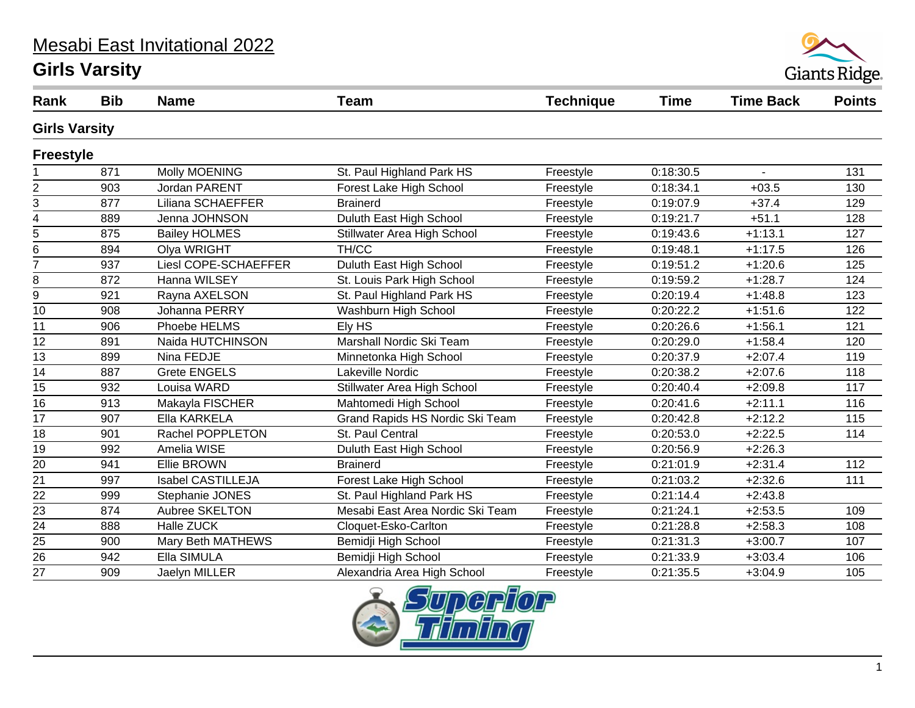# Mesabi East Invitational 2022

#### **Girls Varsity**



| Rank                    | <b>Bib</b> | <b>Name</b>              | <b>Team</b>                      | <b>Technique</b> | <b>Time</b> | <b>Time Back</b> | <b>Points</b> |  |
|-------------------------|------------|--------------------------|----------------------------------|------------------|-------------|------------------|---------------|--|
| <b>Girls Varsity</b>    |            |                          |                                  |                  |             |                  |               |  |
| <b>Freestyle</b>        |            |                          |                                  |                  |             |                  |               |  |
|                         | 871        | Molly MOENING            | St. Paul Highland Park HS        | Freestyle        | 0:18:30.5   | $\blacksquare$   | 131           |  |
| $\boldsymbol{2}$        | 903        | <b>Jordan PARENT</b>     | Forest Lake High School          | Freestyle        | 0:18:34.1   | $+03.5$          | 130           |  |
| 3                       | 877        | Liliana SCHAEFFER        | <b>Brainerd</b>                  | Freestyle        | 0:19:07.9   | $+37.4$          | 129           |  |
| $\overline{\mathbf{4}}$ | 889        | Jenna JOHNSON            | Duluth East High School          | Freestyle        | 0:19:21.7   | $+51.1$          | 128           |  |
| $\sqrt{5}$              | 875        | <b>Bailey HOLMES</b>     | Stillwater Area High School      | Freestyle        | 0:19:43.6   | $+1:13.1$        | 127           |  |
| 6                       | 894        | Olya WRIGHT              | TH/CC                            | Freestyle        | 0:19:48.1   | $+1:17.5$        | 126           |  |
| $\overline{7}$          | 937        | Liesl COPE-SCHAEFFER     | Duluth East High School          | Freestyle        | 0:19:51.2   | $+1:20.6$        | 125           |  |
| 8                       | 872        | Hanna WILSEY             | St. Louis Park High School       | Freestyle        | 0:19:59.2   | $+1:28.7$        | 124           |  |
| $\boldsymbol{9}$        | 921        | Rayna AXELSON            | St. Paul Highland Park HS        | Freestyle        | 0:20:19.4   | $+1:48.8$        | 123           |  |
| 10                      | 908        | Johanna PERRY            | Washburn High School             | Freestyle        | 0:20:22.2   | $+1:51.6$        | 122           |  |
| 11                      | 906        | Phoebe HELMS             | Ely HS                           | Freestyle        | 0:20:26.6   | $+1:56.1$        | 121           |  |
| 12                      | 891        | Naida HUTCHINSON         | Marshall Nordic Ski Team         | Freestyle        | 0:20:29.0   | $+1:58.4$        | 120           |  |
| 13                      | 899        | Nina FEDJE               | Minnetonka High School           | Freestyle        | 0:20:37.9   | $+2:07.4$        | 119           |  |
| 14                      | 887        | <b>Grete ENGELS</b>      | Lakeville Nordic                 | Freestyle        | 0:20:38.2   | $+2:07.6$        | 118           |  |
| 15                      | 932        | Louisa WARD              | Stillwater Area High School      | Freestyle        | 0:20:40.4   | $+2:09.8$        | 117           |  |
| $\overline{16}$         | 913        | Makayla FISCHER          | Mahtomedi High School            | Freestyle        | 0:20:41.6   | $+2:11.1$        | 116           |  |
| 17                      | 907        | Ella KARKELA             | Grand Rapids HS Nordic Ski Team  | Freestyle        | 0:20:42.8   | $+2:12.2$        | 115           |  |
| 18                      | 901        | Rachel POPPLETON         | St. Paul Central                 | Freestyle        | 0:20:53.0   | $+2:22.5$        | 114           |  |
| 19                      | 992        | Amelia WISE              | Duluth East High School          | Freestyle        | 0:20:56.9   | $+2:26.3$        |               |  |
| 20                      | 941        | <b>Ellie BROWN</b>       | <b>Brainerd</b>                  | Freestyle        | 0:21:01.9   | $+2:31.4$        | 112           |  |
| 21                      | 997        | <b>Isabel CASTILLEJA</b> | Forest Lake High School          | Freestyle        | 0:21:03.2   | $+2:32.6$        | 111           |  |
| $\overline{22}$         | 999        | Stephanie JONES          | St. Paul Highland Park HS        | Freestyle        | 0:21:14.4   | $+2:43.8$        |               |  |
| 23                      | 874        | Aubree SKELTON           | Mesabi East Area Nordic Ski Team | Freestyle        | 0:21:24.1   | $+2:53.5$        | 109           |  |
| $\overline{24}$         | 888        | Halle ZUCK               | Cloquet-Esko-Carlton             | Freestyle        | 0:21:28.8   | $+2:58.3$        | 108           |  |
| 25                      | 900        | Mary Beth MATHEWS        | Bemidji High School              | Freestyle        | 0:21:31.3   | $+3:00.7$        | 107           |  |
| 26                      | 942        | Ella SIMULA              | Bemidji High School              | Freestyle        | 0:21:33.9   | $+3:03.4$        | 106           |  |
| 27                      | 909        | Jaelyn MILLER            | Alexandria Area High School      | Freestyle        | 0:21:35.5   | $+3:04.9$        | 105           |  |

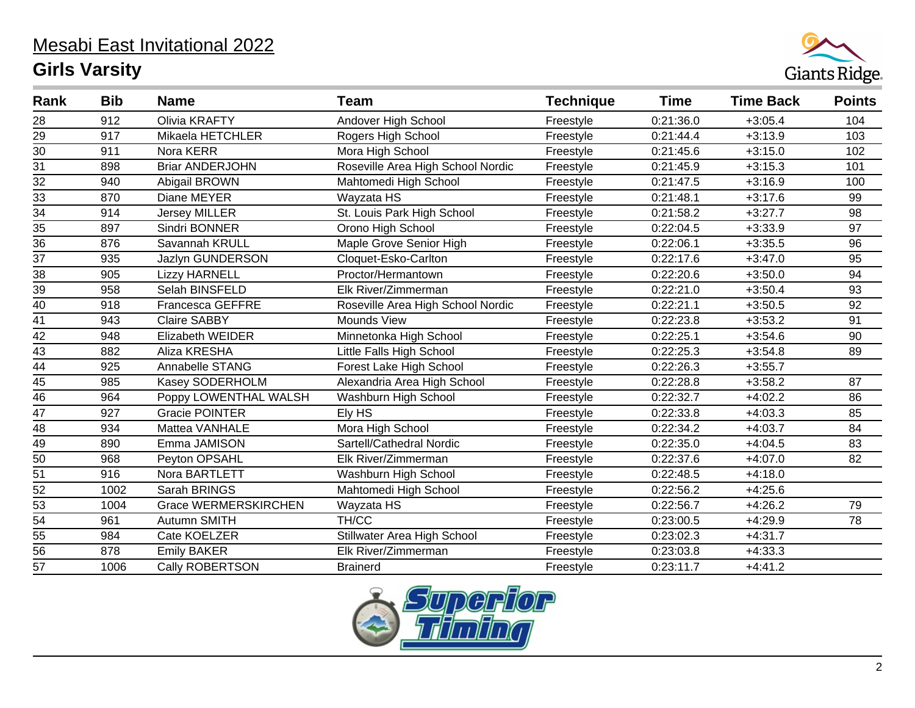

| Rank            | <b>Bib</b> | <b>Name</b>                 | <b>Team</b>                       | <b>Technique</b> | <b>Time</b> | <b>Time Back</b> | <b>Points</b> |
|-----------------|------------|-----------------------------|-----------------------------------|------------------|-------------|------------------|---------------|
| 28              | 912        | Olivia KRAFTY               | Andover High School               | Freestyle        | 0:21:36.0   | $+3:05.4$        | 104           |
| 29              | 917        | Mikaela HETCHLER            | Rogers High School                | Freestyle        | 0:21:44.4   | $+3:13.9$        | 103           |
| 30              | 911        | Nora KERR                   | Mora High School                  | Freestyle        | 0:21:45.6   | $+3:15.0$        | 102           |
| 31              | 898        | <b>Briar ANDERJOHN</b>      | Roseville Area High School Nordic | Freestyle        | 0:21:45.9   | $+3:15.3$        | 101           |
| 32              | 940        | Abigail BROWN               | Mahtomedi High School             | Freestyle        | 0:21:47.5   | $+3:16.9$        | 100           |
| 33              | 870        | Diane MEYER                 | Wayzata HS                        | Freestyle        | 0:21:48.1   | $+3:17.6$        | 99            |
| 34              | 914        | <b>Jersey MILLER</b>        | St. Louis Park High School        | Freestyle        | 0:21:58.2   | $+3:27.7$        | 98            |
| 35              | 897        | Sindri BONNER               | Orono High School                 | Freestyle        | 0:22:04.5   | $+3:33.9$        | 97            |
| 36              | 876        | Savannah KRULL              | Maple Grove Senior High           | Freestyle        | 0:22:06.1   | $+3:35.5$        | 96            |
| 37              | 935        | Jazlyn GUNDERSON            | Cloquet-Esko-Carlton              | Freestyle        | 0:22:17.6   | $+3:47.0$        | 95            |
| 38              | 905        | <b>Lizzy HARNELL</b>        | Proctor/Hermantown                | Freestyle        | 0:22:20.6   | $+3:50.0$        | 94            |
| 39              | 958        | Selah BINSFELD              | Elk River/Zimmerman               | Freestyle        | 0:22:21.0   | $+3:50.4$        | 93            |
| 40              | 918        | <b>Francesca GEFFRE</b>     | Roseville Area High School Nordic | Freestyle        | 0:22:21.1   | $+3:50.5$        | 92            |
| 41              | 943        | <b>Claire SABBY</b>         | <b>Mounds View</b>                | Freestyle        | 0:22:23.8   | $+3:53.2$        | 91            |
| 42              | 948        | <b>Elizabeth WEIDER</b>     | Minnetonka High School            | Freestyle        | 0:22:25.1   | $+3:54.6$        | 90            |
| 43              | 882        | Aliza KRESHA                | Little Falls High School          | Freestyle        | 0:22:25.3   | $+3:54.8$        | 89            |
| 44              | 925        | Annabelle STANG             | Forest Lake High School           | Freestyle        | 0:22:26.3   | $+3:55.7$        |               |
| 45              | 985        | Kasey SODERHOLM             | Alexandria Area High School       | Freestyle        | 0:22:28.8   | $+3:58.2$        | 87            |
| $\overline{46}$ | 964        | Poppy LOWENTHAL WALSH       | Washburn High School              | Freestyle        | 0:22:32.7   | $+4:02.2$        | 86            |
| 47              | 927        | <b>Gracie POINTER</b>       | Ely HS                            | Freestyle        | 0:22:33.8   | $+4:03.3$        | 85            |
| 48              | 934        | Mattea VANHALE              | Mora High School                  | Freestyle        | 0:22:34.2   | $+4:03.7$        | 84            |
| $\overline{49}$ | 890        | Emma JAMISON                | Sartell/Cathedral Nordic          | Freestyle        | 0:22:35.0   | $+4:04.5$        | 83            |
| 50              | 968        | Peyton OPSAHL               | Elk River/Zimmerman               | Freestyle        | 0:22:37.6   | $+4:07.0$        | 82            |
| 51              | 916        | Nora BARTLETT               | Washburn High School              | Freestyle        | 0:22:48.5   | $+4:18.0$        |               |
| $\overline{52}$ | 1002       | Sarah BRINGS                | Mahtomedi High School             | Freestyle        | 0:22:56.2   | $+4:25.6$        |               |
| $\overline{53}$ | 1004       | <b>Grace WERMERSKIRCHEN</b> | Wayzata HS                        | Freestyle        | 0:22:56.7   | $+4:26.2$        | 79            |
| 54              | 961        | Autumn SMITH                | TH/CC                             | Freestyle        | 0:23:00.5   | $+4:29.9$        | 78            |
| 55              | 984        | Cate KOELZER                | Stillwater Area High School       | Freestyle        | 0:23:02.3   | $+4:31.7$        |               |
| $\overline{56}$ | 878        | <b>Emily BAKER</b>          | Elk River/Zimmerman               | Freestyle        | 0:23:03.8   | $+4:33.3$        |               |
| $\overline{57}$ | 1006       | <b>Cally ROBERTSON</b>      | <b>Brainerd</b>                   | Freestyle        | 0:23:11.7   | $+4:41.2$        |               |

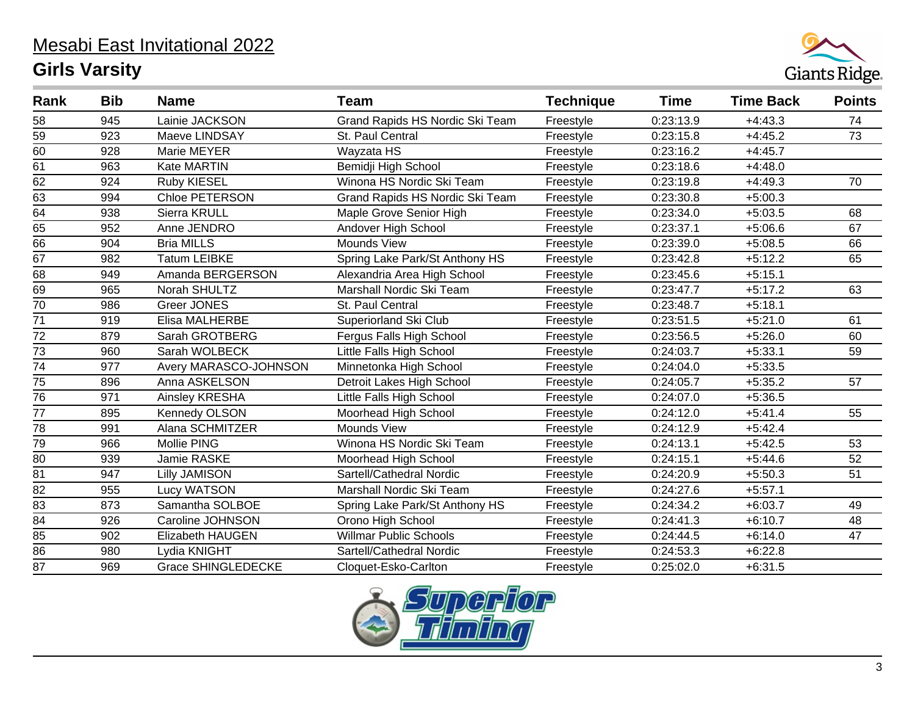

| Rank            | <b>Bib</b> | <b>Name</b>               | <b>Team</b>                     | <b>Technique</b> | <b>Time</b> | <b>Time Back</b> | <b>Points</b> |
|-----------------|------------|---------------------------|---------------------------------|------------------|-------------|------------------|---------------|
| 58              | 945        | Lainie JACKSON            | Grand Rapids HS Nordic Ski Team | Freestyle        | 0:23:13.9   | $+4:43.3$        | 74            |
| 59              | 923        | Maeve LINDSAY             | St. Paul Central                | Freestyle        | 0:23:15.8   | $+4:45.2$        | 73            |
| 60              | 928        | Marie MEYER               | Wayzata HS                      | Freestyle        | 0:23:16.2   | $+4:45.7$        |               |
| 61              | 963        | Kate MARTIN               | Bemidji High School             | Freestyle        | 0:23:18.6   | $+4:48.0$        |               |
| 62              | 924        | <b>Ruby KIESEL</b>        | Winona HS Nordic Ski Team       | Freestyle        | 0:23:19.8   | $+4:49.3$        | 70            |
| 63              | 994        | Chloe PETERSON            | Grand Rapids HS Nordic Ski Team | Freestyle        | 0:23:30.8   | $+5:00.3$        |               |
| $\overline{64}$ | 938        | Sierra KRULL              | Maple Grove Senior High         | Freestyle        | 0:23:34.0   | $+5:03.5$        | 68            |
| 65              | 952        | Anne JENDRO               | Andover High School             | Freestyle        | 0:23:37.1   | $+5:06.6$        | 67            |
| 66              | 904        | <b>Bria MILLS</b>         | Mounds View                     | Freestyle        | 0:23:39.0   | $+5:08.5$        | 66            |
| 67              | 982        | <b>Tatum LEIBKE</b>       | Spring Lake Park/St Anthony HS  | Freestyle        | 0:23:42.8   | $+5:12.2$        | 65            |
| $\overline{68}$ | 949        | Amanda BERGERSON          | Alexandria Area High School     | Freestyle        | 0:23:45.6   | $+5:15.1$        |               |
| 69              | 965        | Norah SHULTZ              | Marshall Nordic Ski Team        | Freestyle        | 0:23:47.7   | $+5:17.2$        | 63            |
| 70              | 986        | <b>Greer JONES</b>        | St. Paul Central                | Freestyle        | 0:23:48.7   | $+5:18.1$        |               |
| $\overline{71}$ | 919        | Elisa MALHERBE            | Superiorland Ski Club           | Freestyle        | 0:23:51.5   | $+5:21.0$        | 61            |
| $\overline{72}$ | 879        | Sarah GROTBERG            | Fergus Falls High School        | Freestyle        | 0:23:56.5   | $+5:26.0$        | 60            |
| 73              | 960        | Sarah WOLBECK             | Little Falls High School        | Freestyle        | 0:24:03.7   | $+5:33.1$        | 59            |
| $\overline{74}$ | 977        | Avery MARASCO-JOHNSON     | Minnetonka High School          | Freestyle        | 0:24:04.0   | $+5:33.5$        |               |
| 75              | 896        | Anna ASKELSON             | Detroit Lakes High School       | Freestyle        | 0:24:05.7   | $+5:35.2$        | 57            |
| $\overline{76}$ | 971        | Ainsley KRESHA            | Little Falls High School        | Freestyle        | 0:24:07.0   | $+5:36.5$        |               |
| $\overline{77}$ | 895        | <b>Kennedy OLSON</b>      | Moorhead High School            | Freestyle        | 0:24:12.0   | $+5:41.4$        | 55            |
| 78              | 991        | Alana SCHMITZER           | Mounds View                     | Freestyle        | 0:24:12.9   | $+5:42.4$        |               |
| 79              | 966        | Mollie PING               | Winona HS Nordic Ski Team       | Freestyle        | 0:24:13.1   | $+5:42.5$        | 53            |
| 80              | 939        | Jamie RASKE               | Moorhead High School            | Freestyle        | 0:24:15.1   | $+5:44.6$        | 52            |
| 81              | 947        | <b>Lilly JAMISON</b>      | Sartell/Cathedral Nordic        | Freestyle        | 0:24:20.9   | $+5:50.3$        | 51            |
| 82              | 955        | Lucy WATSON               | Marshall Nordic Ski Team        | Freestyle        | 0:24:27.6   | $+5:57.1$        |               |
| 83              | 873        | Samantha SOLBOE           | Spring Lake Park/St Anthony HS  | Freestyle        | 0:24:34.2   | $+6:03.7$        | 49            |
| 84              | 926        | Caroline JOHNSON          | Orono High School               | Freestyle        | 0:24:41.3   | $+6:10.7$        | 48            |
| 85              | 902        | Elizabeth HAUGEN          | <b>Willmar Public Schools</b>   | Freestyle        | 0:24:44.5   | $+6:14.0$        | 47            |
| 86              | 980        | Lydia KNIGHT              | Sartell/Cathedral Nordic        | Freestyle        | 0:24:53.3   | $+6:22.8$        |               |
| $\overline{87}$ | 969        | <b>Grace SHINGLEDECKE</b> | Cloquet-Esko-Carlton            | Freestyle        | 0:25:02.0   | $+6:31.5$        |               |

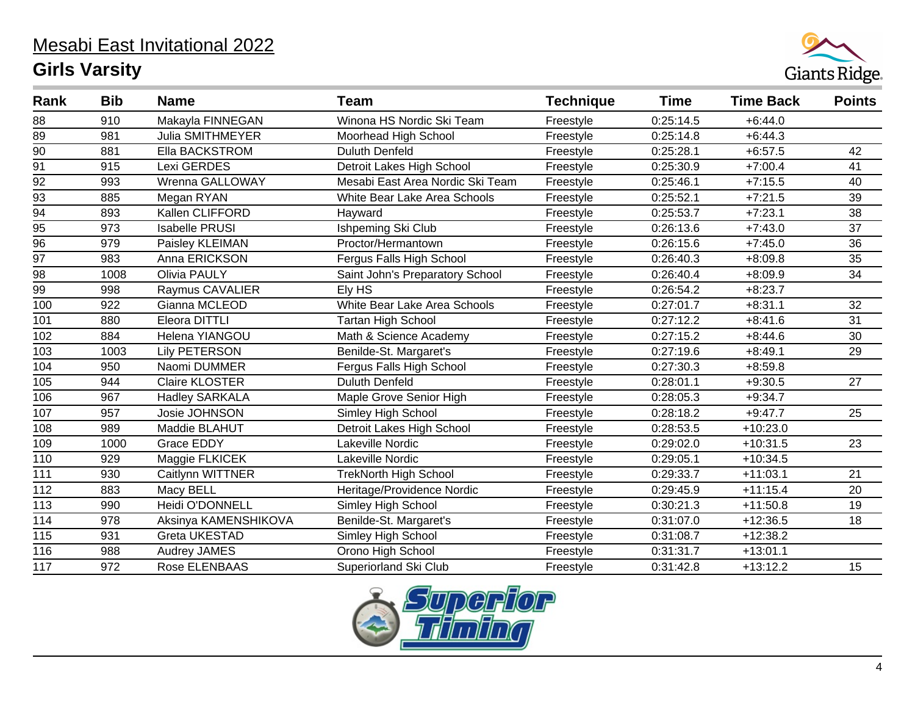

| Rank            | <b>Bib</b> | <b>Name</b>             | <b>Team</b>                      | <b>Technique</b> | <b>Time</b> | <b>Time Back</b> | <b>Points</b>   |
|-----------------|------------|-------------------------|----------------------------------|------------------|-------------|------------------|-----------------|
| 88              | 910        | Makayla FINNEGAN        | Winona HS Nordic Ski Team        | Freestyle        | 0:25:14.5   | $+6:44.0$        |                 |
| 89              | 981        | <b>Julia SMITHMEYER</b> | Moorhead High School             | Freestyle        | 0:25:14.8   | $+6:44.3$        |                 |
| $\overline{90}$ | 881        | Ella BACKSTROM          | <b>Duluth Denfeld</b>            | Freestyle        | 0:25:28.1   | $+6:57.5$        | 42              |
| 91              | 915        | Lexi GERDES             | Detroit Lakes High School        | Freestyle        | 0:25:30.9   | $+7:00.4$        | 41              |
| $\overline{92}$ | 993        | Wrenna GALLOWAY         | Mesabi East Area Nordic Ski Team | Freestyle        | 0:25:46.1   | $+7:15.5$        | 40              |
| 93              | 885        | Megan RYAN              | White Bear Lake Area Schools     | Freestyle        | 0:25:52.1   | $+7:21.5$        | 39              |
| $\overline{94}$ | 893        | Kallen CLIFFORD         | Hayward                          | Freestyle        | 0:25:53.7   | $+7:23.1$        | 38              |
| 95              | 973        | <b>Isabelle PRUSI</b>   | Ishpeming Ski Club               | Freestyle        | 0:26:13.6   | $+7:43.0$        | 37              |
| $\overline{96}$ | 979        | Paisley KLEIMAN         | Proctor/Hermantown               | Freestyle        | 0:26:15.6   | $+7:45.0$        | 36              |
| 97              | 983        | Anna ERICKSON           | Fergus Falls High School         | Freestyle        | 0:26:40.3   | $+8:09.8$        | 35              |
| $\overline{98}$ | 1008       | <b>Olivia PAULY</b>     | Saint John's Preparatory School  | Freestyle        | 0:26:40.4   | $+8:09.9$        | $\overline{34}$ |
| 99              | 998        | Raymus CAVALIER         | Ely HS                           | Freestyle        | 0:26:54.2   | $+8:23.7$        |                 |
| 100             | 922        | Gianna MCLEOD           | White Bear Lake Area Schools     | Freestyle        | 0:27:01.7   | $+8:31.1$        | 32              |
| 101             | 880        | Eleora DITTLI           | <b>Tartan High School</b>        | Freestyle        | 0:27:12.2   | $+8:41.6$        | 31              |
| 102             | 884        | Helena YIANGOU          | Math & Science Academy           | Freestyle        | 0:27:15.2   | $+8:44.6$        | 30              |
| 103             | 1003       | <b>Lily PETERSON</b>    | Benilde-St. Margaret's           | Freestyle        | 0:27:19.6   | $+8:49.1$        | 29              |
| 104             | 950        | Naomi DUMMER            | Fergus Falls High School         | Freestyle        | 0:27:30.3   | $+8:59.8$        |                 |
| 105             | 944        | Claire KLOSTER          | <b>Duluth Denfeld</b>            | Freestyle        | 0:28:01.1   | $+9:30.5$        | 27              |
| 106             | 967        | <b>Hadley SARKALA</b>   | Maple Grove Senior High          | Freestyle        | 0:28:05.3   | $+9:34.7$        |                 |
| 107             | 957        | Josie JOHNSON           | Simley High School               | Freestyle        | 0:28:18.2   | $+9:47.7$        | 25              |
| 108             | 989        | Maddie BLAHUT           | Detroit Lakes High School        | Freestyle        | 0:28:53.5   | $+10:23.0$       |                 |
| 109             | 1000       | <b>Grace EDDY</b>       | Lakeville Nordic                 | Freestyle        | 0:29:02.0   | $+10:31.5$       | 23              |
| 110             | 929        | Maggie FLKICEK          | Lakeville Nordic                 | Freestyle        | 0:29:05.1   | $+10:34.5$       |                 |
| 111             | 930        | Caitlynn WITTNER        | <b>TrekNorth High School</b>     | Freestyle        | 0:29:33.7   | $+11:03.1$       | 21              |
| 112             | 883        | Macy BELL               | Heritage/Providence Nordic       | Freestyle        | 0:29:45.9   | $+11:15.4$       | 20              |
| 113             | 990        | Heidi O'DONNELL         | Simley High School               | Freestyle        | 0:30:21.3   | $+11:50.8$       | 19              |
| 114             | 978        | Aksinya KAMENSHIKOVA    | Benilde-St. Margaret's           | Freestyle        | 0:31:07.0   | $+12:36.5$       | 18              |
| 115             | 931        | Greta UKESTAD           | Simley High School               | Freestyle        | 0:31:08.7   | $+12:38.2$       |                 |
| 116             | 988        | <b>Audrey JAMES</b>     | Orono High School                | Freestyle        | 0:31:31.7   | $+13:01.1$       |                 |
| 117             | 972        | Rose ELENBAAS           | Superiorland Ski Club            | Freestyle        | 0:31:42.8   | $+13:12.2$       | 15              |